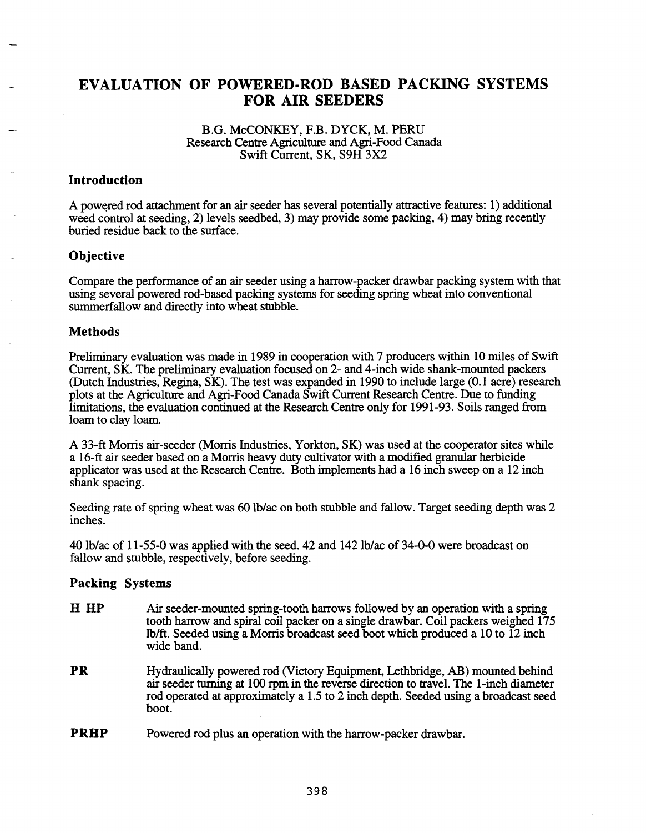# EVALUATION OF POWERED-ROD BASED PACKING SYSTEMS FOR AIR SEEDERS

### B.G. McCONKEY, F.B. DYCK, M. PERU Research Centre Agriculture and Agri-Food Canada Swift Current, SK, S9H 3X2

## Introduction

A powered rod attachment for an air seeder has several potentially attractive features: 1) additional weed control at seeding, 2) levels seedbed, 3) may provide some packing, 4) may bring recently buried residue back to the surface.

# **Objective**

Compare the performance of an air seeder using a harrow-packer drawbar packing system with that using several powered rod-based packing systems for seeding spring wheat into conventional summerfallow and directly into wheat stubble.

### **Methods**

Preliminary evaluation was made in 1989 in cooperation with 7 producers within 10 miles of Swift Current, SK. The preliminary evaluation focused on 2- and 4-inch wide shank-mounted packers (Dutch Industries, Regina, SK). The test was expanded in 1990 to include large (0.1 acre) research plots at the Agriculture and Agri-Food Canada Swift Current Research Centre. Due to funding limitations, the evaluation continued at the Research Centre only for 1991-93. Soils ranged from loam to clay loam.

A 33-ft Morris air-seeder (Morris Industries, Yorkton, SK) was used at the cooperator sites while a 16-ft air seeder based on a Morris heavy duty cultivator with a modified granular herbicide applicator was used at the Research Centre. Both implements had a 16 inch sweep on a 12 inch shank spacing.

Seeding rate of spring wheat was 60 lb/ac on both stubble and fallow. Target seeding depth was 2 inches.

40 lb/ac of 11-55-0 was applied with the seed. 42 and 142lb/ac of 34-0-0 were broadcast on fallow and stubble, respectively, before seeding.

# Packing Systems

- H HP Air seeder-mounted spring-tooth harrows followed by an operation with a spring tooth harrow and spiral coil packer on a single drawbar. Coil packers weighed 175 lb/ft. Seeded using a Morris broadcast seed boot which produced a 10 to 12 inch wide band.
- PR Hydraulically powered rod (Victory Equipment, Lethbridge, AB) mounted behind air seeder turning at 100 rpm in the reverse direction to travel. The l-inch diameter rod operated at approximately a 1.5 to 2 inch depth. Seeded using a broadcast seed boot.
- PRHP Powered rod plus an operation with the harrow-packer drawbar.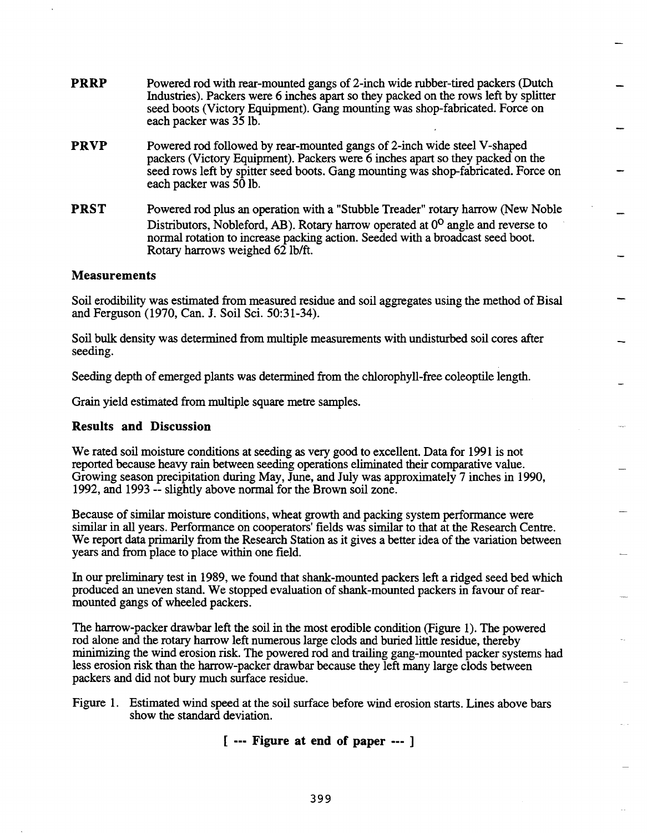**PRRP PRVP PRST**  Powered rod with rear-mounted gangs of 2-inch wide rubber-tired packers (Dutch Industries). Packers were 6 inches apart so they packed on the rows left by splitter seed boots (Victory Equipment). Gang mounting was shop-fabricated. Force on each packer was 35 lb. Powered rod followed by rear-mounted gangs of 2-inch wide steel V -shaped packers (Victory Equipment). Packers were 6 inches apart so they packed on the seed rows left by spitter seed boots. Gang mounting was shop-fabricated. Force on each packer was 50 lb. Powered rod plus an operation with a "Stubble Treader" rotary harrow (New Noble Distributors, Nobleford, AB). Rotary harrow operated at  $0^{\circ}$  angle and reverse to normal rotation to increase packing action. Seeded with a broadcast seed boot.

#### **Measurements**

Soil erodibility was estimated from measured residue and soil aggregates using the method of Bisal and Ferguson (1970, Can. J. Soil Sci. 50:31-34).

Soil bulk density was determined from multiple measurements with undisturbed soil cores after seeding.

Seeding depth of emerged plants was determined from the chlorophyll-free coleoptile length.

Grain yield estimated from multiple square metre samples.

Rotary harrows weighed 62 lb/ft.

#### **Results and Discussion**

We rated soil moisture conditions at seeding as very good to excellent. Data for 1991 is not reported because heavy rain between seeding operations eliminated their comparative value. Growing season precipitation during May, June, and July was approximately 7 inches in 1990, 1992, and 1993 -- slightly above normal for the Brown soil zone.

Because of similar moisture conditions, wheat growth and packing system performance were similar in all years. Performance on cooperators' fields was similar to that at the Research Centre. We report data primarily from the Research Station as it gives a better idea of the variation between years and from place to place within one field.

In our preliminary test in 1989, we found that shank-mounted packers left a ridged seed bed which produced an uneven stand. We stopped evaluation of shank-mounted packers in favour of rearmounted gangs of wheeled packers.

The harrow-packer drawbar left the soil in the most erodible condition (Figure 1). The powered rod alone and the rotary harrow left numerous large clods and buried little residue, thereby minimizing the wind erosion risk. The powered rod and trailing gang-mounted packer systems had less erosion risk than the harrow-packer drawbar because they left many large clods between packers and did not bury much surface residue.

[ --- **Figure at end of paper** --- ]

Figure 1. Estimated wind speed at the soil surface before wind erosion starts. Lines above bars show the standard deviation.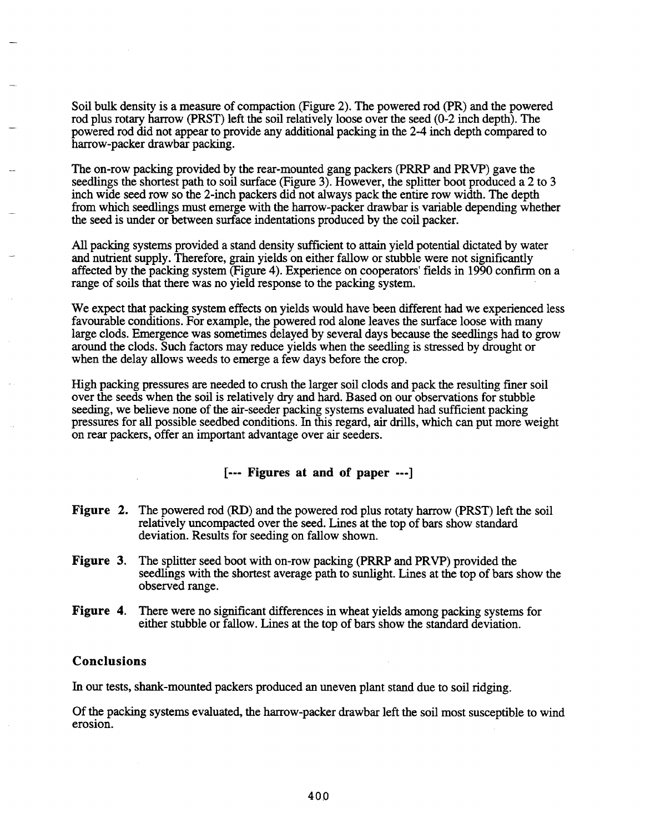Soil bulk density is a measure of compaction (Figure 2). The powered rod (PR) and the powered rod plus rotary harrow (PRST) left the soil relatively loose over the seed (0-2 inch depth). The powered rod did not appear to provide any additional packing in the 2-4 inch depth compared to harrow-packer drawbar packing.

The on-row packing provided by the rear-mounted gang packers (PRRP and PRVP) gave the seedlings the shortest path to soil surface (Figure 3). However, the splitter boot produced a 2 to 3 inch wide seed row so the 2-inch packers did not always pack the entire row width. The depth from which seedlings must emerge with the harrow-packer drawbar is variable depending whether the seed is under or between surface indentations produced by the coil packer.

All packing systems provided a stand density sufficient to attain yield potential dictated by water and nutrient supply. Therefore, grain yields on either fallow or stubble were not significantly affected by the packing system (Figure 4). Experience on cooperators' fields in 1990 confirm on a range of soils that there was no yield response to the packing system.

We expect that packing system effects on yields would have been different had we experienced less favourable conditions. For example, the powered rod alone leaves the surface loose with many large clods. Emergence was sometimes delayed by several days because the seedlings had to grow around the clods. Such factors may reduce yields when the seedling is stressed by drought or when the delay allows weeds to emerge a few days before the crop.

High packing pressures are needed to crush the larger soil clods and pack the resulting finer soil over the seeds when the soil is relatively dry and hard. Based on our observations for stubble seeding, we believe none of the air-seeder packing systems evaluated had sufficient packing pressures for all possible seedbed conditions. In this regard, air drills, which can put more weight on rear packers, offer an important advantage over air seeders.

### [ --- Figures at and of paper ---]

- Figure 2. The powered rod (RD) and the powered rod plus rotaty harrow (PRST) left the soil relatively uncompacted over the seed. Lines at the top of bars show standard deviation. Results for seeding on fallow shown.
- Figure 3. The splitter seed boot with on-row packing (PRRP and PRVP) provided the seedlings with the shortest average path to sunlight. Lines at the top of bars show the observed range.
- Figure 4. There were no significant differences in wheat yields among packing systems for either stubble or fallow. Lines at the top of bars show the standard deviation.

#### Conclusions

In our tests, shank-mounted packers produced an uneven plant stand due to soil ridging.

Of the packing systems evaluated, the harrow-packer drawbar left the soil most susceptible to wind erosion.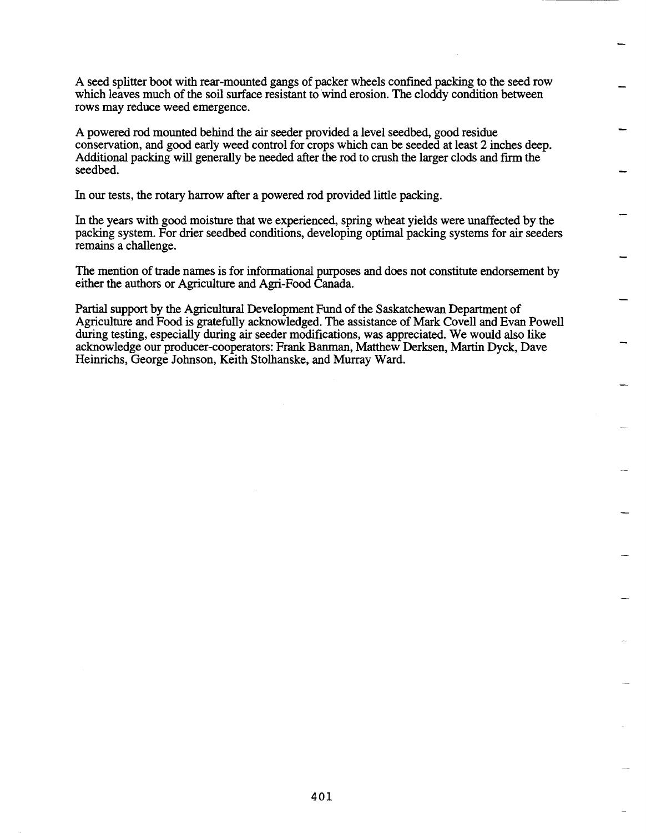A seed splitter boot with rear-mounted gangs of packer wheels confined packing to the seed row which leaves much of the soil surface resistant to wind erosion. The cloddy condition between rows may reduce weed emergence.

A powered rod mounted behind the air seeder provided a level seedbed, good residue conservation, and good early weed control for crops which can be seeded at least 2 inches deep. Additional packing will generally be needed after the rod to crush the larger clods and firm the seedbed.

In our tests, the rotary harrow after a powered rod provided little packing.

In the years with good moisture that we experienced, spring wheat yields were unaffected by the packing system. For drier seedbed conditions, developing optimal packing systems for air seeders remains a challenge.

The mention of trade names is for informational purposes and does not constitute endorsement by either the authors or Agriculture and Agri-Food Canada.

Partial support by the Agricultural Development Fund of the Saskatchewan Department of Agriculture and Food is gratefully acknowledged. The assistance of Mark Covell and Evan Powell during testing, especially during air seeder modifications, was appreciated. We would also like acknowledge our producer-cooperators: Frank Banman, Matthew Derksen, Martin Dyck, Dave Heinrichs, George Johnson, Keith Stolhanske, and Murray Ward.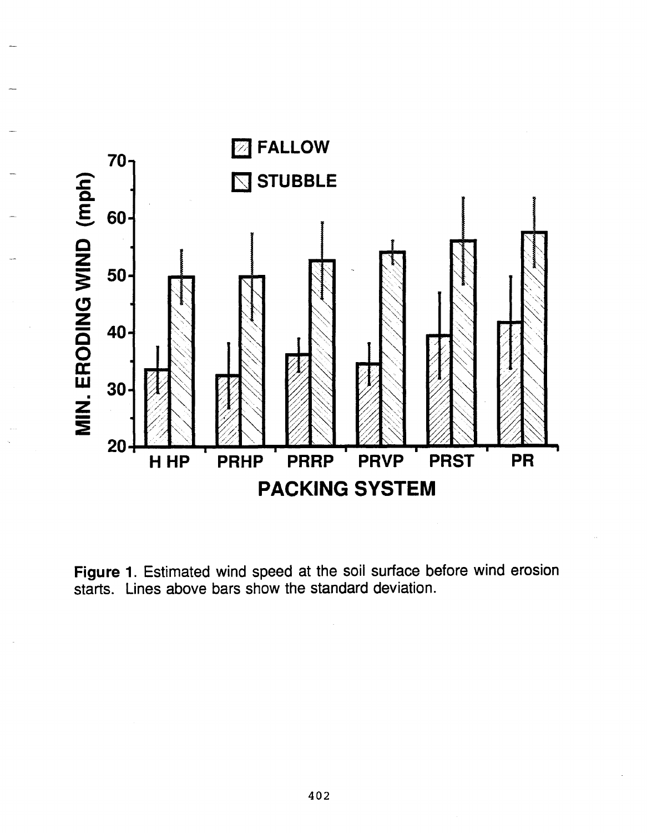

Figure 1. Estimated wind speed at the soil surface before wind erosion starts. Lines above bars show the standard deviation.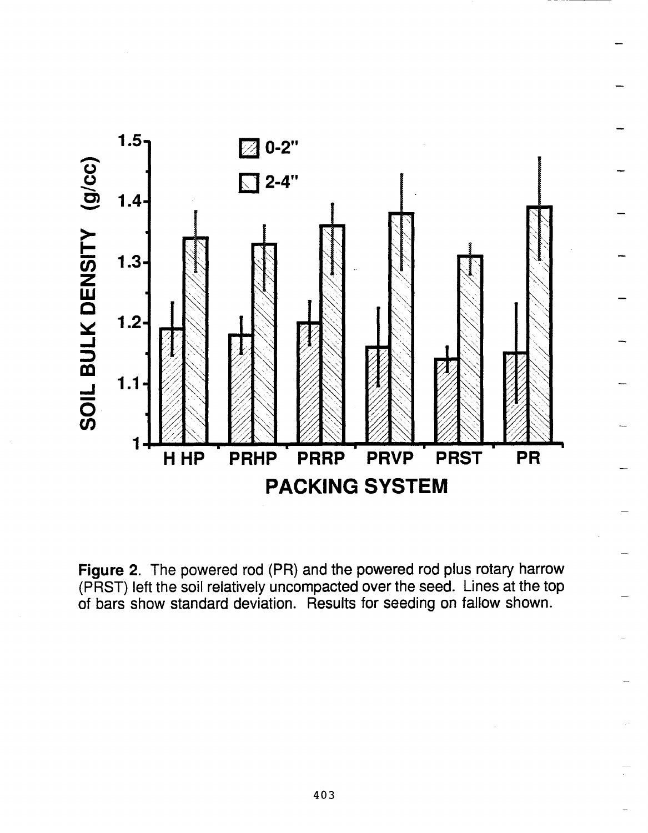

Figure 2. The powered rod (PR) and the powered rod plus rotary harrow (PRST) left the soil relatively uncompacted over the seed. Lines at the top of bars show standard deviation. Results for seeding on fallow shown.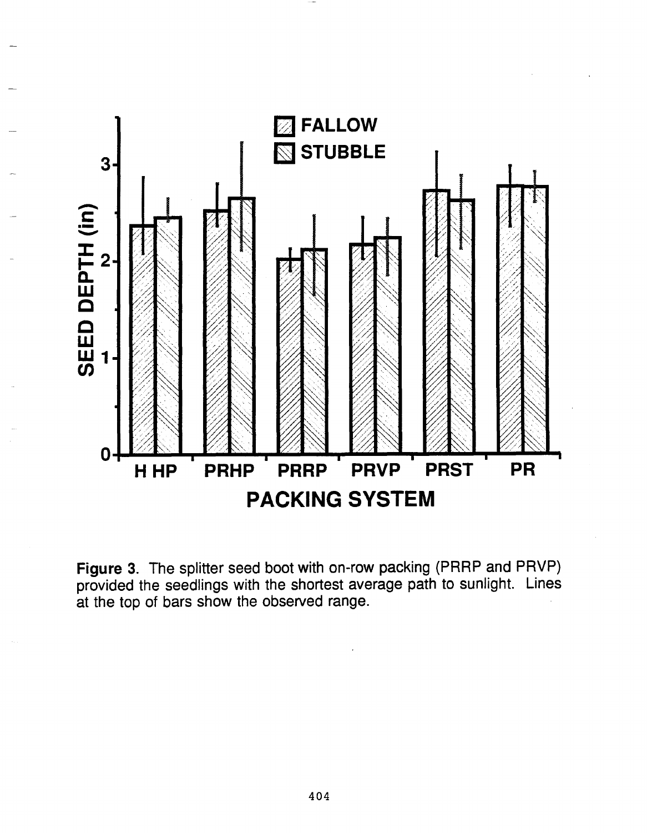

Figure 3. The splitter seed boot with on-row packing (PRRP and PRVP) provided the seedlings with the shortest average path to sunlight. Lines at the top of bars show the observed range.